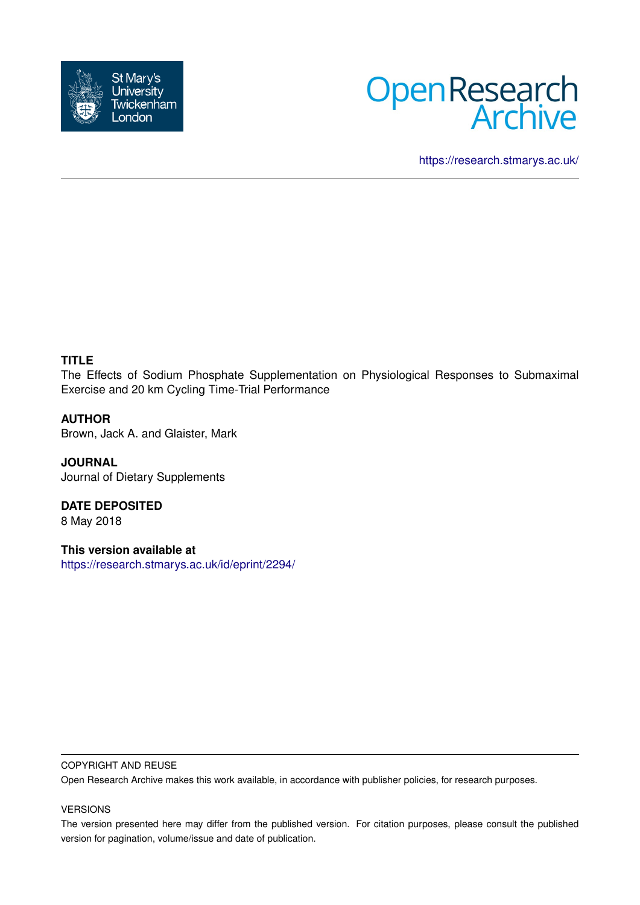



<https://research.stmarys.ac.uk/>

# **TITLE**

The Effects of Sodium Phosphate Supplementation on Physiological Responses to Submaximal Exercise and 20 km Cycling Time-Trial Performance

# **AUTHOR**

Brown, Jack A. and Glaister, Mark

**JOURNAL** Journal of Dietary Supplements

**DATE DEPOSITED** 8 May 2018

**This version available at** <https://research.stmarys.ac.uk/id/eprint/2294/>

#### COPYRIGHT AND REUSE

Open Research Archive makes this work available, in accordance with publisher policies, for research purposes.

### VERSIONS

The version presented here may differ from the published version. For citation purposes, please consult the published version for pagination, volume/issue and date of publication.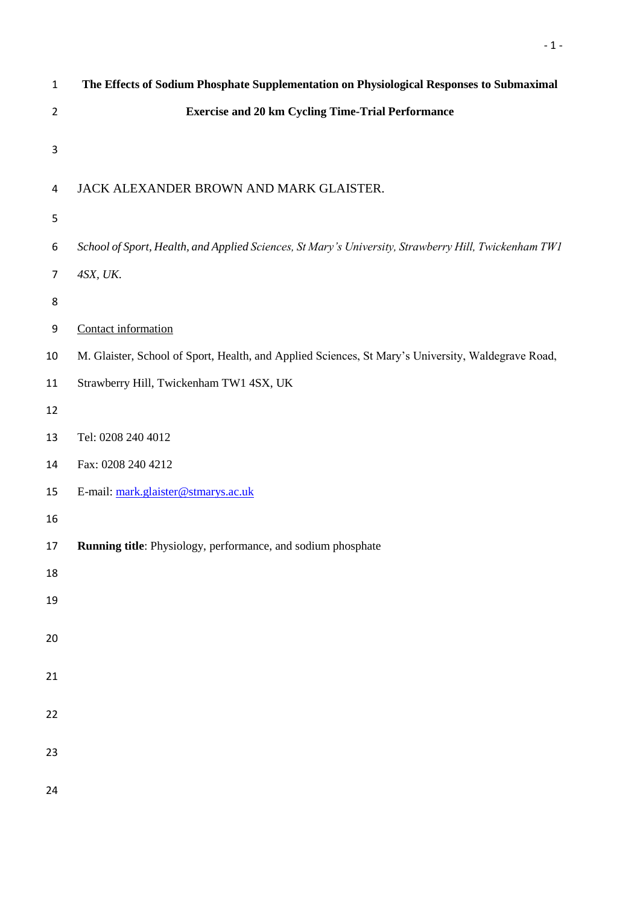| $\mathbf 1$             | The Effects of Sodium Phosphate Supplementation on Physiological Responses to Submaximal             |
|-------------------------|------------------------------------------------------------------------------------------------------|
| $\overline{2}$          | <b>Exercise and 20 km Cycling Time-Trial Performance</b>                                             |
| $\mathsf{3}$            |                                                                                                      |
| $\overline{\mathbf{4}}$ | JACK ALEXANDER BROWN AND MARK GLAISTER.                                                              |
| 5                       |                                                                                                      |
| 6                       | School of Sport, Health, and Applied Sciences, St Mary's University, Strawberry Hill, Twickenham TW1 |
| 7                       | 4SX, UK.                                                                                             |
| 8                       |                                                                                                      |
| 9                       | Contact information                                                                                  |
| 10                      | M. Glaister, School of Sport, Health, and Applied Sciences, St Mary's University, Waldegrave Road,   |
| 11                      | Strawberry Hill, Twickenham TW1 4SX, UK                                                              |
| 12                      |                                                                                                      |
| 13                      | Tel: 0208 240 4012                                                                                   |
| 14                      | Fax: 0208 240 4212                                                                                   |
| 15                      | E-mail: mark.glaister@stmarys.ac.uk                                                                  |
| 16                      |                                                                                                      |
| 17                      | Running title: Physiology, performance, and sodium phosphate                                         |
| 18                      |                                                                                                      |
| 19                      |                                                                                                      |
| $20\,$                  |                                                                                                      |
| $21\,$                  |                                                                                                      |
| $22\,$                  |                                                                                                      |
| 23                      |                                                                                                      |
| 24                      |                                                                                                      |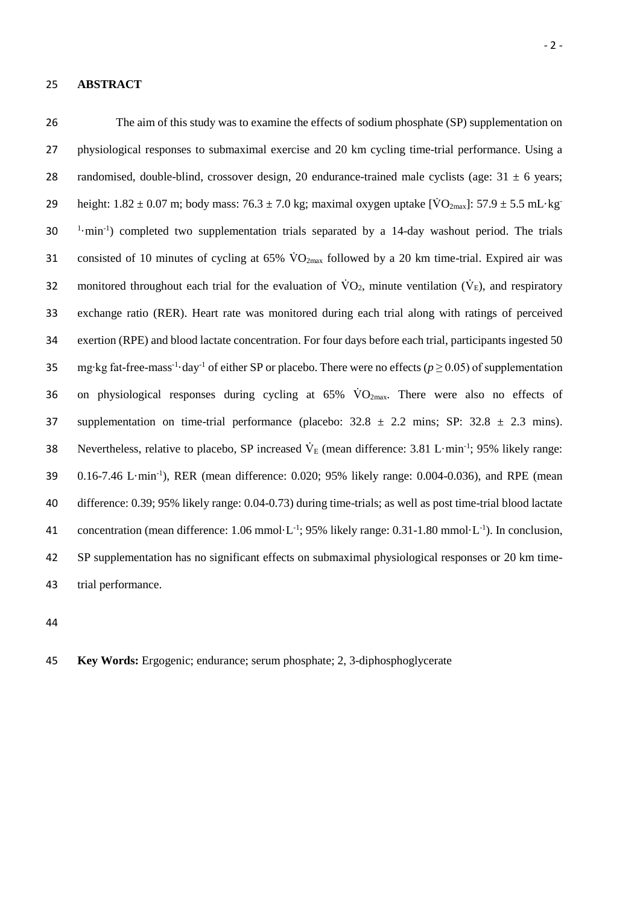#### 25 **ABSTRACT**

26 The aim of this study was to examine the effects of sodium phosphate (SP) supplementation on 27 physiological responses to submaximal exercise and 20 km cycling time-trial performance. Using a 28 randomised, double-blind, crossover design, 20 endurance-trained male cyclists (age:  $31 \pm 6$  years; 29 height:  $1.82 \pm 0.07$  m; body mass:  $76.3 \pm 7.0$  kg; maximal oxygen uptake  $[\text{VO}_{2\text{max}}]$ :  $57.9 \pm 5.5$  mL·kg 30 <sup>1</sup>·min<sup>-1</sup>) completed two supplementation trials separated by a 14-day washout period. The trials 31 consisted of 10 minutes of cycling at 65%  $\rm VO_{2max}$  followed by a 20 km time-trial. Expired air was 32 monitored throughout each trial for the evaluation of  $\dot{V}O_2$ , minute ventilation ( $\dot{V}_E$ ), and respiratory 33 exchange ratio (RER). Heart rate was monitored during each trial along with ratings of perceived 34 exertion (RPE) and blood lactate concentration. For four days before each trial, participants ingested 50 mg∙kg fat-free-mass-1 ·day-1 35 of either SP or placebo. There were no effects (*p* ≥ 0.05) of supplementation 36 on physiological responses during cycling at  $65\%$  VO<sub>2max</sub>. There were also no effects of 37 supplementation on time-trial performance (placebo:  $32.8 \pm 2.2$  mins; SP:  $32.8 \pm 2.3$  mins). 38 Nevertheless, relative to placebo, SP increased  $V_E$  (mean difference: 3.81 L·min<sup>-1</sup>; 95% likely range: 39 0.16-7.46 L·min<sup>-1</sup>), RER (mean difference: 0.020; 95% likely range: 0.004-0.036), and RPE (mean 40 difference: 0.39; 95% likely range: 0.04-0.73) during time-trials; as well as post time-trial blood lactate 41 concentration (mean difference: 1.06 mmol $\cdot$ L<sup>-1</sup>; 95% likely range: 0.31-1.80 mmol $\cdot$ L<sup>-1</sup>). In conclusion, 42 SP supplementation has no significant effects on submaximal physiological responses or 20 km time-43 trial performance.

44



45 **Key Words:** Ergogenic; endurance; serum phosphate; 2, 3-diphosphoglycerate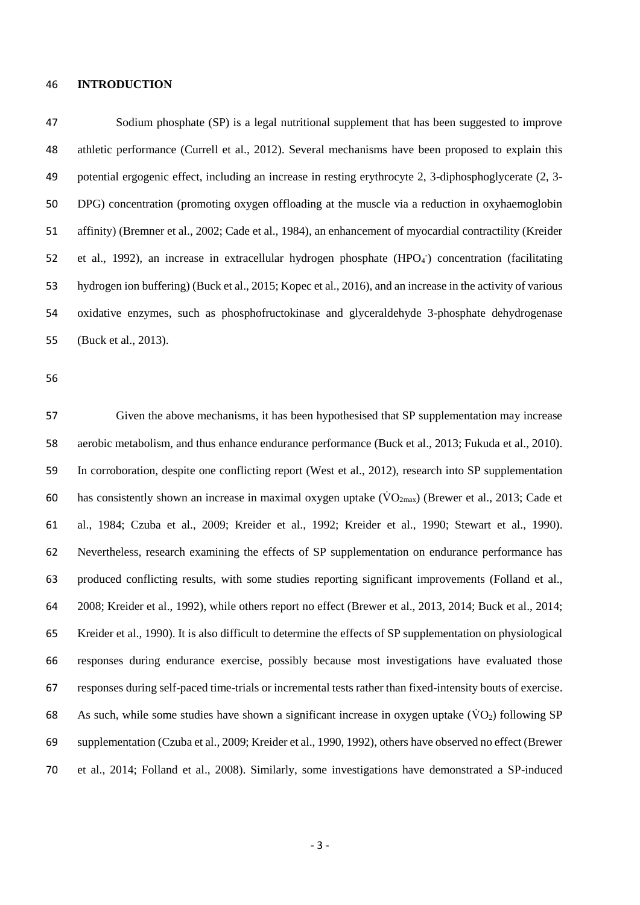#### **INTRODUCTION**

 Sodium phosphate (SP) is a legal nutritional supplement that has been suggested to improve athletic performance (Currell et al., 2012). Several mechanisms have been proposed to explain this potential ergogenic effect, including an increase in resting erythrocyte 2, 3-diphosphoglycerate (2, 3- DPG) concentration (promoting oxygen offloading at the muscle via a reduction in oxyhaemoglobin affinity) (Bremner et al., 2002; Cade et al., 1984), an enhancement of myocardial contractility (Kreider 52 et al., 1992), an increase in extracellular hydrogen phosphate (HPO<sub>4</sub><sup>-</sup>) concentration (facilitating hydrogen ion buffering) (Buck et al., 2015; Kopec et al., 2016), and an increase in the activity of various oxidative enzymes, such as phosphofructokinase and glyceraldehyde 3-phosphate dehydrogenase (Buck et al., 2013).

 Given the above mechanisms, it has been hypothesised that SP supplementation may increase aerobic metabolism, and thus enhance endurance performance (Buck et al., 2013; Fukuda et al., 2010). In corroboration, despite one conflicting report (West et al., 2012), research into SP supplementation 60 has consistently shown an increase in maximal oxygen uptake  $(\dot{V}O_{2max})$  (Brewer et al., 2013; Cade et al., 1984; Czuba et al., 2009; Kreider et al., 1992; Kreider et al., 1990; Stewart et al., 1990). Nevertheless, research examining the effects of SP supplementation on endurance performance has produced conflicting results, with some studies reporting significant improvements (Folland et al., 2008; Kreider et al., 1992), while others report no effect (Brewer et al., 2013, 2014; Buck et al., 2014; Kreider et al., 1990). It is also difficult to determine the effects of SP supplementation on physiological responses during endurance exercise, possibly because most investigations have evaluated those responses during self-paced time-trials or incremental tests rather than fixed-intensity bouts of exercise. 68 As such, while some studies have shown a significant increase in oxygen uptake  $(\dot{V}O_2)$  following SP supplementation (Czuba et al., 2009; Kreider et al., 1990, 1992), others have observed no effect (Brewer et al., 2014; Folland et al., 2008). Similarly, some investigations have demonstrated a SP-induced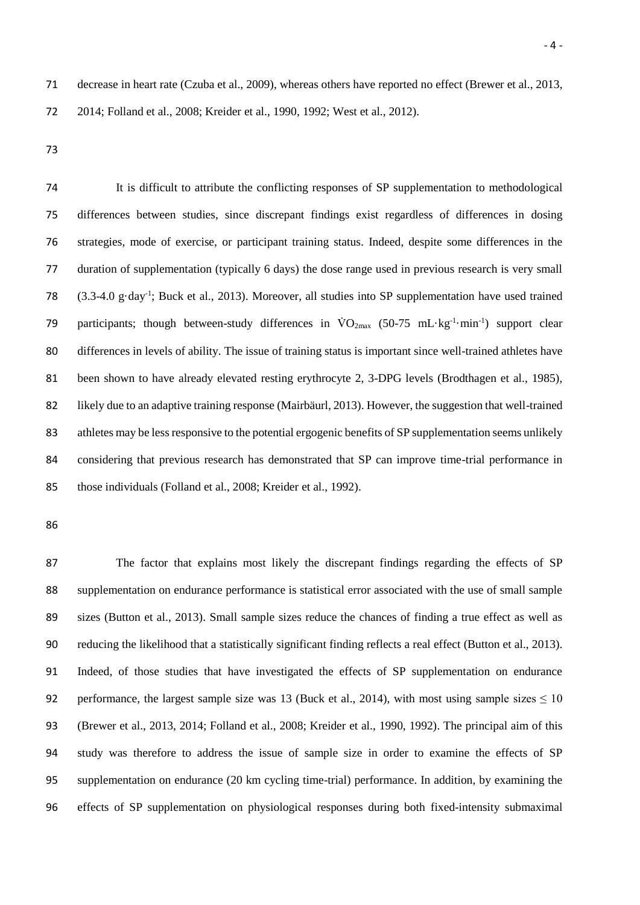decrease in heart rate (Czuba et al., 2009), whereas others have reported no effect (Brewer et al., 2013, 2014; Folland et al., 2008; Kreider et al., 1990, 1992; West et al., 2012).

 It is difficult to attribute the conflicting responses of SP supplementation to methodological differences between studies, since discrepant findings exist regardless of differences in dosing strategies, mode of exercise, or participant training status. Indeed, despite some differences in the duration of supplementation (typically 6 days) the dose range used in previous research is very small 78 (3.3-4.0 g·day<sup>-1</sup>; Buck et al., 2013). Moreover, all studies into SP supplementation have used trained 79 participants; though between-study differences in  $\rm{VO_{2max}}$  (50-75 mL·kg<sup>-1</sup>·min<sup>-1</sup>) support clear differences in levels of ability. The issue of training status is important since well-trained athletes have 81 been shown to have already elevated resting erythrocyte 2, 3-DPG levels (Brodthagen et al., 1985), likely due to an adaptive training response (Mairbäurl, 2013). However, the suggestion that well-trained athletes may be less responsive to the potential ergogenic benefits of SP supplementation seems unlikely considering that previous research has demonstrated that SP can improve time-trial performance in those individuals (Folland et al., 2008; Kreider et al., 1992).

 The factor that explains most likely the discrepant findings regarding the effects of SP supplementation on endurance performance is statistical error associated with the use of small sample sizes (Button et al., 2013). Small sample sizes reduce the chances of finding a true effect as well as reducing the likelihood that a statistically significant finding reflects a real effect (Button et al., 2013). Indeed, of those studies that have investigated the effects of SP supplementation on endurance 92 performance, the largest sample size was 13 (Buck et al., 2014), with most using sample sizes  $\leq 10$  (Brewer et al., 2013, 2014; Folland et al., 2008; Kreider et al., 1990, 1992). The principal aim of this study was therefore to address the issue of sample size in order to examine the effects of SP supplementation on endurance (20 km cycling time-trial) performance. In addition, by examining the effects of SP supplementation on physiological responses during both fixed-intensity submaximal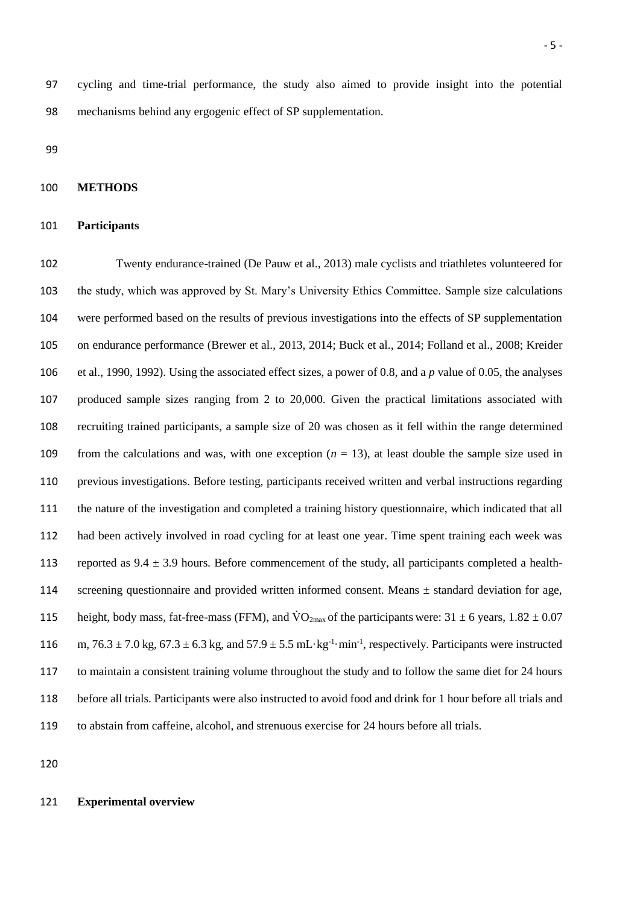cycling and time-trial performance, the study also aimed to provide insight into the potential mechanisms behind any ergogenic effect of SP supplementation.

### **METHODS**

#### **Participants**

 Twenty endurance-trained (De Pauw et al., 2013) male cyclists and triathletes volunteered for the study, which was approved by St. Mary's University Ethics Committee. Sample size calculations were performed based on the results of previous investigations into the effects of SP supplementation on endurance performance (Brewer et al., 2013, 2014; Buck et al., 2014; Folland et al., 2008; Kreider et al., 1990, 1992). Using the associated effect sizes, a power of 0.8, and a *p* value of 0.05, the analyses produced sample sizes ranging from 2 to 20,000. Given the practical limitations associated with recruiting trained participants, a sample size of 20 was chosen as it fell within the range determined 109 from the calculations and was, with one exception  $(n = 13)$ , at least double the sample size used in previous investigations. Before testing, participants received written and verbal instructions regarding the nature of the investigation and completed a training history questionnaire, which indicated that all had been actively involved in road cycling for at least one year. Time spent training each week was 113 reported as  $9.4 \pm 3.9$  hours. Before commencement of the study, all participants completed a health- screening questionnaire and provided written informed consent. Means ± standard deviation for age, 115 height, body mass, fat-free-mass (FFM), and  $\rm \dot{VO}_{2max}$  of the participants were:  $31 \pm 6$  years,  $1.82 \pm 0.07$ 116 m,  $76.3 \pm 7.0$  kg,  $67.3 \pm 6.3$  kg, and  $57.9 \pm 5.5$  mL·kg<sup>-1</sup>·min<sup>-1</sup>, respectively. Participants were instructed to maintain a consistent training volume throughout the study and to follow the same diet for 24 hours before all trials. Participants were also instructed to avoid food and drink for 1 hour before all trials and to abstain from caffeine, alcohol, and strenuous exercise for 24 hours before all trials.

#### **Experimental overview**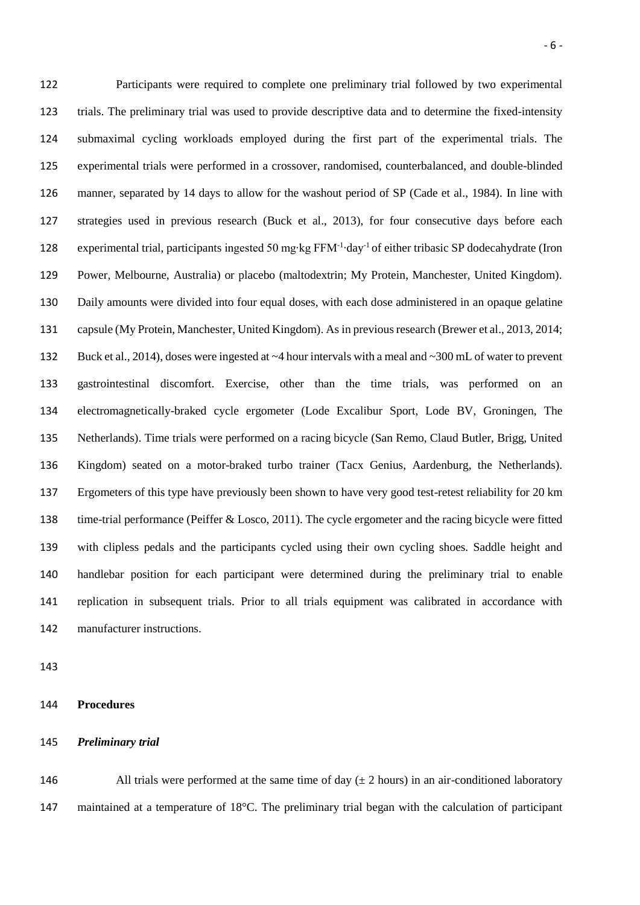Participants were required to complete one preliminary trial followed by two experimental trials. The preliminary trial was used to provide descriptive data and to determine the fixed-intensity submaximal cycling workloads employed during the first part of the experimental trials. The experimental trials were performed in a crossover, randomised, counterbalanced, and double-blinded manner, separated by 14 days to allow for the washout period of SP (Cade et al., 1984). In line with strategies used in previous research (Buck et al., 2013), for four consecutive days before each 128 experimental trial, participants ingested 50 mg⋅kg FFM<sup>-1</sup>⋅day<sup>-1</sup> of either tribasic SP dodecahydrate (Iron Power, Melbourne, Australia) or placebo (maltodextrin; My Protein, Manchester, United Kingdom). Daily amounts were divided into four equal doses, with each dose administered in an opaque gelatine capsule (My Protein, Manchester, United Kingdom). As in previous research (Brewer et al., 2013, 2014; Buck et al., 2014), doses were ingested at ~4 hour intervals with a meal and ~300 mL of water to prevent gastrointestinal discomfort. Exercise, other than the time trials, was performed on an electromagnetically-braked cycle ergometer (Lode Excalibur Sport, Lode BV, Groningen, The Netherlands). Time trials were performed on a racing bicycle (San Remo, Claud Butler, Brigg, United Kingdom) seated on a motor-braked turbo trainer (Tacx Genius, Aardenburg, the Netherlands). Ergometers of this type have previously been shown to have very good test-retest reliability for 20 km time-trial performance (Peiffer & Losco, 2011). The cycle ergometer and the racing bicycle were fitted with clipless pedals and the participants cycled using their own cycling shoes. Saddle height and handlebar position for each participant were determined during the preliminary trial to enable replication in subsequent trials. Prior to all trials equipment was calibrated in accordance with manufacturer instructions.

**Procedures**

*Preliminary trial*

146 All trials were performed at the same time of day  $(\pm 2 \text{ hours})$  in an air-conditioned laboratory maintained at a temperature of 18°C. The preliminary trial began with the calculation of participant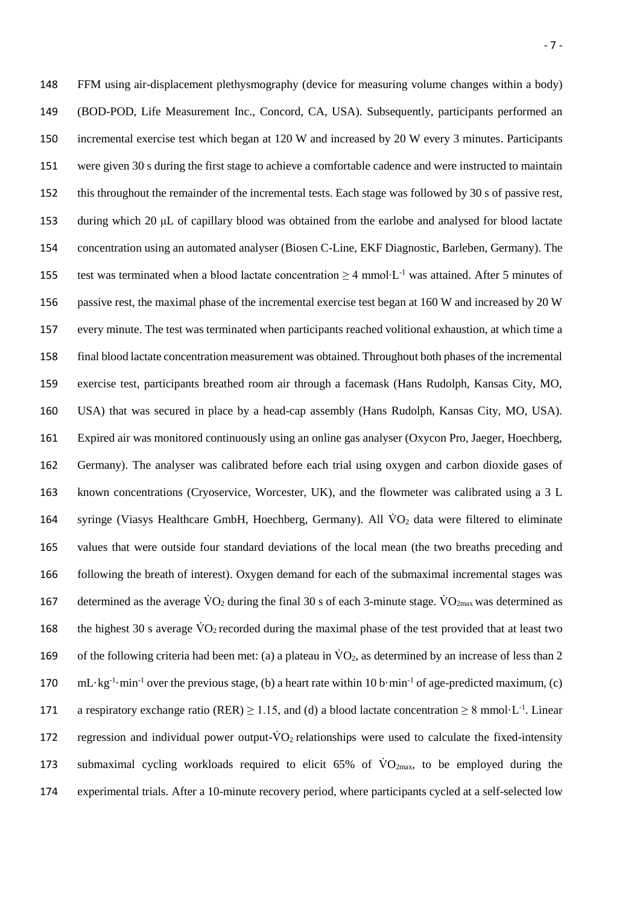FFM using air-displacement plethysmography (device for measuring volume changes within a body) (BOD-POD, Life Measurement Inc., Concord, CA, USA). Subsequently, participants performed an incremental exercise test which began at 120 W and increased by 20 W every 3 minutes. Participants were given 30 s during the first stage to achieve a comfortable cadence and were instructed to maintain this throughout the remainder of the incremental tests. Each stage was followed by 30 s of passive rest, during which 20 μL of capillary blood was obtained from the earlobe and analysed for blood lactate concentration using an automated analyser (Biosen C-Line, EKF Diagnostic, Barleben, Germany). The test was terminated when a blood lactate concentration ≥ 4 mmol⋅L<sup>-1</sup> was attained. After 5 minutes of passive rest, the maximal phase of the incremental exercise test began at 160 W and increased by 20 W every minute. The test was terminated when participants reached volitional exhaustion, at which time a final blood lactate concentration measurement was obtained. Throughout both phases of the incremental exercise test, participants breathed room air through a facemask (Hans Rudolph, Kansas City, MO, USA) that was secured in place by a head-cap assembly (Hans Rudolph, Kansas City, MO, USA). Expired air was monitored continuously using an online gas analyser (Oxycon Pro, Jaeger, Hoechberg, Germany). The analyser was calibrated before each trial using oxygen and carbon dioxide gases of known concentrations (Cryoservice, Worcester, UK), and the flowmeter was calibrated using a 3 L 164 syringe (Viasys Healthcare GmbH, Hoechberg, Germany). All  $\dot{V}O_2$  data were filtered to eliminate values that were outside four standard deviations of the local mean (the two breaths preceding and following the breath of interest). Oxygen demand for each of the submaximal incremental stages was 167 determined as the average  $\dot{V}O_2$  during the final 30 s of each 3-minute stage.  $\dot{V}O_{2\text{max}}$  was determined as 168 the highest 30 s average  $\rm\ddot{VO}_2$  recorded during the maximal phase of the test provided that at least two 169 of the following criteria had been met: (a) a plateau in  $\dot{V}O_2$ , as determined by an increase of less than 2  $\text{mL·kg-1·min-1}$  over the previous stage, (b) a heart rate within 10 b·min<sup>-1</sup> of age-predicted maximum, (c) 171 a respiratory exchange ratio (RER)  $\geq$  1.15, and (d) a blood lactate concentration  $\geq$  8 mmol·L<sup>-1</sup>. Linear 172 regression and individual power output- $\dot{V}O_2$  relationships were used to calculate the fixed-intensity 173 submaximal cycling workloads required to elicit  $65\%$  of  $\rm VO_{2max}$ , to be employed during the experimental trials. After a 10-minute recovery period, where participants cycled at a self-selected low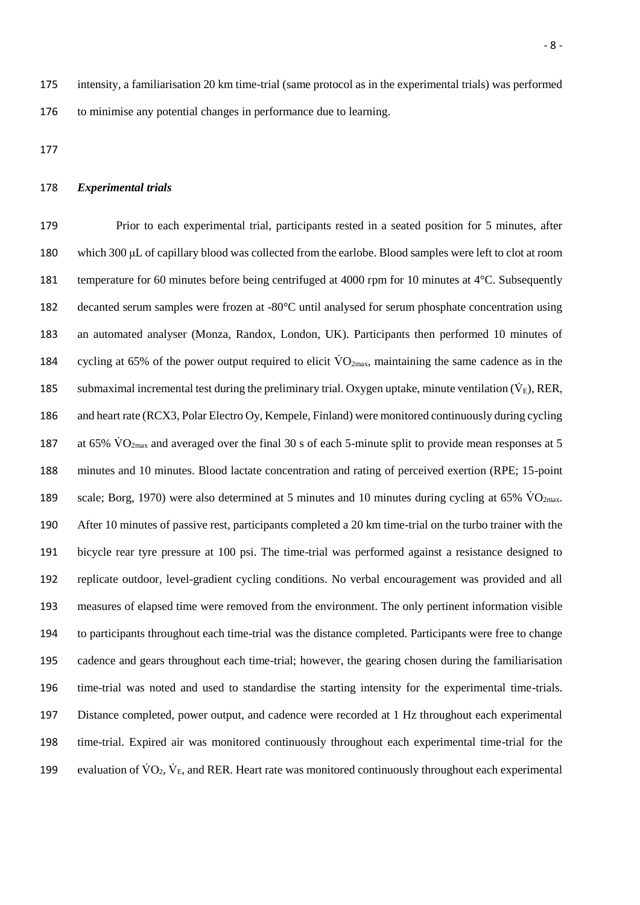# *Experimental trials*

 Prior to each experimental trial, participants rested in a seated position for 5 minutes, after which 300 μL of capillary blood was collected from the earlobe. Blood samples were left to clot at room temperature for 60 minutes before being centrifuged at 4000 rpm for 10 minutes at 4°C. Subsequently decanted serum samples were frozen at -80°C until analysed for serum phosphate concentration using an automated analyser (Monza, Randox, London, UK). Participants then performed 10 minutes of 184 cycling at 65% of the power output required to elicit  $\rm{VO}_{2\text{max}}$ , maintaining the same cadence as in the 185 submaximal incremental test during the preliminary trial. Oxygen uptake, minute ventilation  $(\dot{V}_E)$ , RER, and heart rate (RCX3, Polar Electro Oy, Kempele, Finland) were monitored continuously during cycling 187 at 65%  $\rm \dot{V}O_{2max}$  and averaged over the final 30 s of each 5-minute split to provide mean responses at 5 minutes and 10 minutes. Blood lactate concentration and rating of perceived exertion (RPE; 15-point 189 scale; Borg, 1970) were also determined at 5 minutes and 10 minutes during cycling at 65%  $\rm \ddot{V}O_{2max}$ . After 10 minutes of passive rest, participants completed a 20 km time-trial on the turbo trainer with the bicycle rear tyre pressure at 100 psi. The time-trial was performed against a resistance designed to replicate outdoor, level-gradient cycling conditions. No verbal encouragement was provided and all measures of elapsed time were removed from the environment. The only pertinent information visible to participants throughout each time-trial was the distance completed. Participants were free to change cadence and gears throughout each time-trial; however, the gearing chosen during the familiarisation time-trial was noted and used to standardise the starting intensity for the experimental time-trials. Distance completed, power output, and cadence were recorded at 1 Hz throughout each experimental time-trial. Expired air was monitored continuously throughout each experimental time-trial for the 199 evaluation of  $\dot{V}O_2$ ,  $\dot{V}_E$ , and RER. Heart rate was monitored continuously throughout each experimental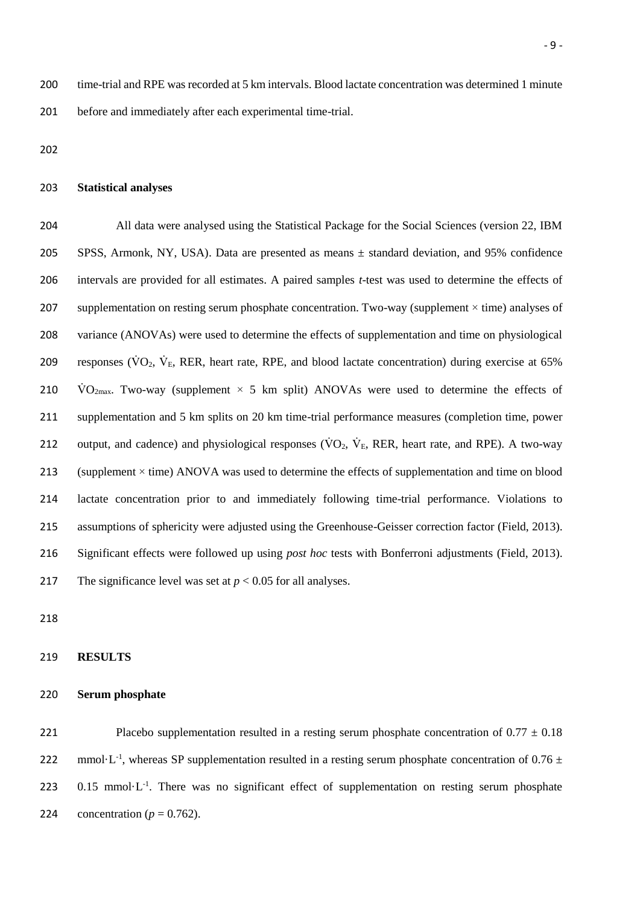200 time-trial and RPE was recorded at 5 km intervals. Blood lactate concentration was determined 1 minute 201 before and immediately after each experimental time-trial.

202

# 203 **Statistical analyses**

 All data were analysed using the Statistical Package for the Social Sciences (version 22, IBM SPSS, Armonk, NY, USA). Data are presented as means ± standard deviation, and 95% confidence intervals are provided for all estimates. A paired samples *t*-test was used to determine the effects of 207 supplementation on resting serum phosphate concentration. Two-way (supplement  $\times$  time) analyses of variance (ANOVAs) were used to determine the effects of supplementation and time on physiological 209 responses ( $\rm\dot{VO}_2$ ,  $\rm\dot{V}_E$ , RER, heart rate, RPE, and blood lactate concentration) during exercise at 65%  $\dot{V}O_{2\text{max}}$ . Two-way (supplement  $\times$  5 km split) ANOVAs were used to determine the effects of supplementation and 5 km splits on 20 km time-trial performance measures (completion time, power 212 output, and cadence) and physiological responses ( $\dot{V}O_2$ ,  $\dot{V}_E$ , RER, heart rate, and RPE). A two-way 213 (supplement  $\times$  time) ANOVA was used to determine the effects of supplementation and time on blood lactate concentration prior to and immediately following time-trial performance. Violations to assumptions of sphericity were adjusted using the Greenhouse-Geisser correction factor (Field, 2013). Significant effects were followed up using *post hoc* tests with Bonferroni adjustments (Field, 2013). 217 The significance level was set at  $p < 0.05$  for all analyses.

218

## 219 **RESULTS**

# 220 **Serum phosphate**

221 Placebo supplementation resulted in a resting serum phosphate concentration of  $0.77 \pm 0.18$ 222 mmol·L<sup>-1</sup>, whereas SP supplementation resulted in a resting serum phosphate concentration of 0.76  $\pm$ 223 .  $0.15$  mmol $\cdot$ L<sup>-1</sup>. There was no significant effect of supplementation on resting serum phosphate 224 concentration  $(p = 0.762)$ .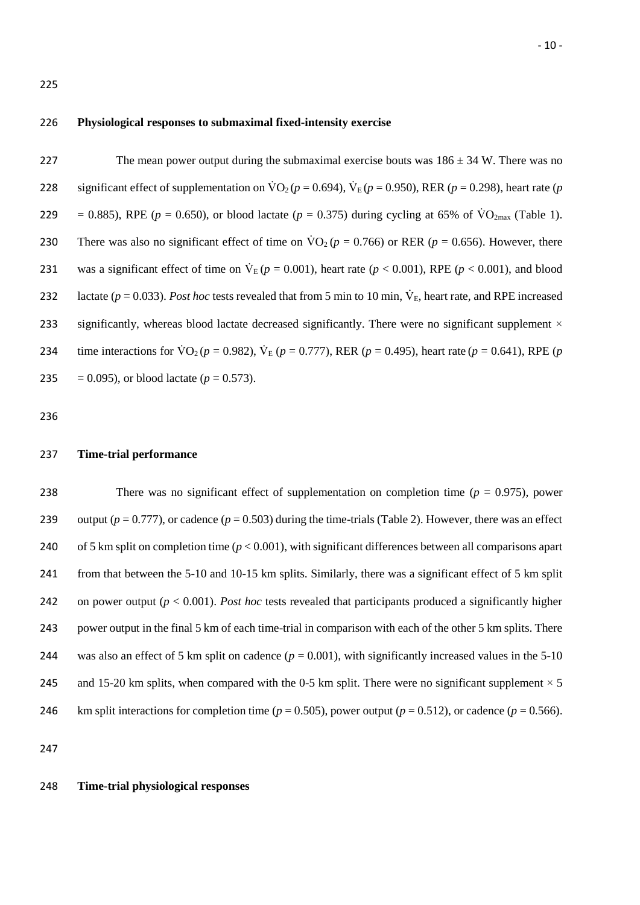225

226 **Physiological responses to submaximal fixed-intensity exercise**

227 The mean power output during the submaximal exercise bouts was  $186 \pm 34$  W. There was no 228 significant effect of supplementation on  $\text{VO}_2$  ( $p = 0.694$ ),  $\text{V}_E$  ( $p = 0.950$ ), RER ( $p = 0.298$ ), heart rate ( $p = 0.298$ ) 229 = 0.885), RPE ( $p = 0.650$ ), or blood lactate ( $p = 0.375$ ) during cycling at 65% of VO<sub>2max</sub> (Table 1). 230 There was also no significant effect of time on  $\text{VO}_2$  ( $p = 0.766$ ) or RER ( $p = 0.656$ ). However, there 231 was a significant effect of time on  $V_E(p = 0.001)$ , heart rate ( $p < 0.001$ ), RPE ( $p < 0.001$ ), and blood 232 lactate ( $p = 0.033$ ). *Post hoc* tests revealed that from 5 min to 10 min,  $\dot{V}_E$ , heart rate, and RPE increased 233 significantly, whereas blood lactate decreased significantly. There were no significant supplement  $\times$ 234 time interactions for  $\dot{V}O_2(p = 0.982)$ ,  $\dot{V}_E(p = 0.777)$ , RER (*p* = 0.495), heart rate (*p* = 0.641), RPE (*p* 235 = 0.095), or blood lactate  $(p = 0.573)$ .

236

## 237 **Time-trial performance**

238 There was no significant effect of supplementation on completion time (*p* = 0.975), power 239 output ( $p = 0.777$ ), or cadence ( $p = 0.503$ ) during the time-trials (Table 2). However, there was an effect 240 of 5 km split on completion time (*p* < 0.001), with significant differences between all comparisons apart 241 from that between the 5-10 and 10-15 km splits. Similarly, there was a significant effect of 5 km split 242 on power output (*p* < 0.001). *Post hoc* tests revealed that participants produced a significantly higher 243 power output in the final 5 km of each time-trial in comparison with each of the other 5 km splits. There 244 was also an effect of 5 km split on cadence  $(p = 0.001)$ , with significantly increased values in the 5-10 245 and 15-20 km splits, when compared with the 0-5 km split. There were no significant supplement  $\times$  5 246 km split interactions for completion time ( $p = 0.505$ ), power output ( $p = 0.512$ ), or cadence ( $p = 0.566$ ).

247

# 248 **Time-trial physiological responses**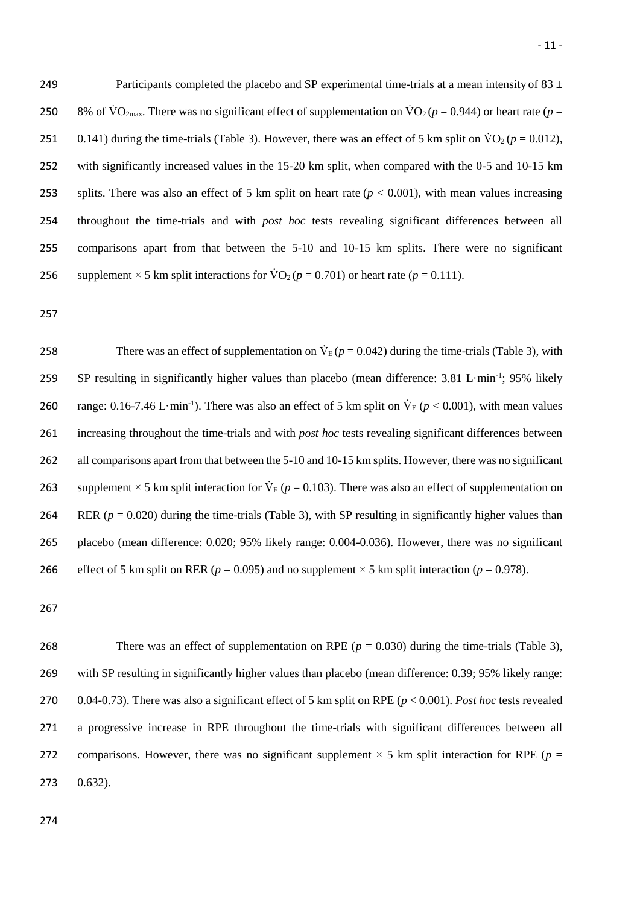249 Participants completed the placebo and SP experimental time-trials at a mean intensity of  $83 \pm$ 250 8% of  $\text{VO}_{2\text{max}}$ . There was no significant effect of supplementation on  $\text{VO}_2$  ( $p = 0.944$ ) or heart rate ( $p =$ 251 0.141) during the time-trials (Table 3). However, there was an effect of 5 km split on  $\dot{V}O_2$  ( $p = 0.012$ ), 252 with significantly increased values in the 15-20 km split, when compared with the 0-5 and 10-15 km 253 splits. There was also an effect of 5 km split on heart rate  $(p < 0.001)$ , with mean values increasing 254 throughout the time-trials and with *post hoc* tests revealing significant differences between all 255 comparisons apart from that between the 5-10 and 10-15 km splits. There were no significant 256 supplement  $\times$  5 km split interactions for  $\text{VO}_2$  ( $p = 0.701$ ) or heart rate ( $p = 0.111$ ).

257

There was an effect of supplementation on  $\dot{V}_E(p = 0.042)$  during the time-trials (Table 3), with SP resulting in significantly higher values than placebo (mean difference:  $3.81 \text{ L-min}^{-1}$ ;  $95\%$  likely 260 range: 0.16-7.46 L·min<sup>-1</sup>). There was also an effect of 5 km split on  $\dot{V}_E$  ( $p < 0.001$ ), with mean values 261 increasing throughout the time-trials and with *post hoc* tests revealing significant differences between 262 all comparisons apart from that between the 5-10 and 10-15 km splits. However, there was no significant 263 supplement  $\times$  5 km split interaction for  $\dot{V}_{E}$  ( $p = 0.103$ ). There was also an effect of supplementation on 264 RER ( $p = 0.020$ ) during the time-trials (Table 3), with SP resulting in significantly higher values than 265 placebo (mean difference: 0.020; 95% likely range: 0.004-0.036). However, there was no significant 266 effect of 5 km split on RER ( $p = 0.095$ ) and no supplement  $\times$  5 km split interaction ( $p = 0.978$ ).

267

268 There was an effect of supplementation on RPE  $(p = 0.030)$  during the time-trials (Table 3), 269 with SP resulting in significantly higher values than placebo (mean difference: 0.39; 95% likely range: 270 0.04-0.73). There was also a significant effect of 5 km split on RPE (*p* < 0.001). *Post hoc* tests revealed 271 a progressive increase in RPE throughout the time-trials with significant differences between all 272 comparisons. However, there was no significant supplement  $\times$  5 km split interaction for RPE ( $p =$ 273 0.632).

274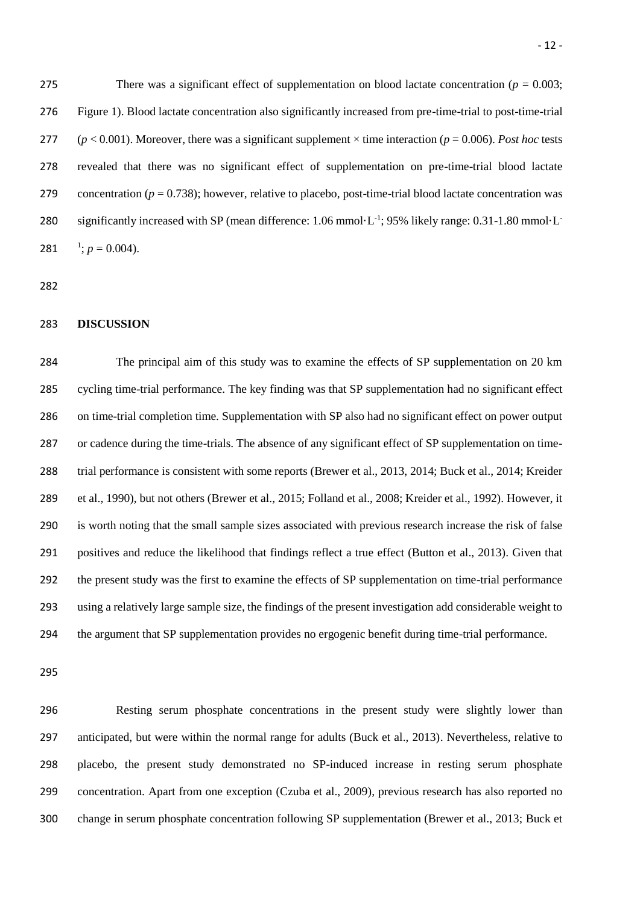275 There was a significant effect of supplementation on blood lactate concentration  $(p = 0.003$ ; Figure 1). Blood lactate concentration also significantly increased from pre-time-trial to post-time-trial 277  $(p < 0.001)$ . Moreover, there was a significant supplement  $\times$  time interaction ( $p = 0.006$ ). *Post hoc* tests revealed that there was no significant effect of supplementation on pre-time-trial blood lactate 279 concentration ( $p = 0.738$ ); however, relative to placebo, post-time-trial blood lactate concentration was 280 significantly increased with SP (mean difference: 1.06 mmol·L<sup>-1</sup>; 95% likely range: 0.31-1.80 mmol·L<sup>-1</sup> 281  $\frac{1}{2}$ ;  $p = 0.004$ ).

### **DISCUSSION**

 The principal aim of this study was to examine the effects of SP supplementation on 20 km cycling time-trial performance. The key finding was that SP supplementation had no significant effect on time-trial completion time. Supplementation with SP also had no significant effect on power output or cadence during the time-trials. The absence of any significant effect of SP supplementation on time- trial performance is consistent with some reports (Brewer et al., 2013, 2014; Buck et al., 2014; Kreider et al., 1990), but not others (Brewer et al., 2015; Folland et al., 2008; Kreider et al., 1992). However, it is worth noting that the small sample sizes associated with previous research increase the risk of false positives and reduce the likelihood that findings reflect a true effect (Button et al., 2013). Given that the present study was the first to examine the effects of SP supplementation on time-trial performance using a relatively large sample size, the findings of the present investigation add considerable weight to the argument that SP supplementation provides no ergogenic benefit during time-trial performance.

 Resting serum phosphate concentrations in the present study were slightly lower than anticipated, but were within the normal range for adults (Buck et al., 2013). Nevertheless, relative to placebo, the present study demonstrated no SP-induced increase in resting serum phosphate concentration. Apart from one exception (Czuba et al., 2009), previous research has also reported no change in serum phosphate concentration following SP supplementation (Brewer et al., 2013; Buck et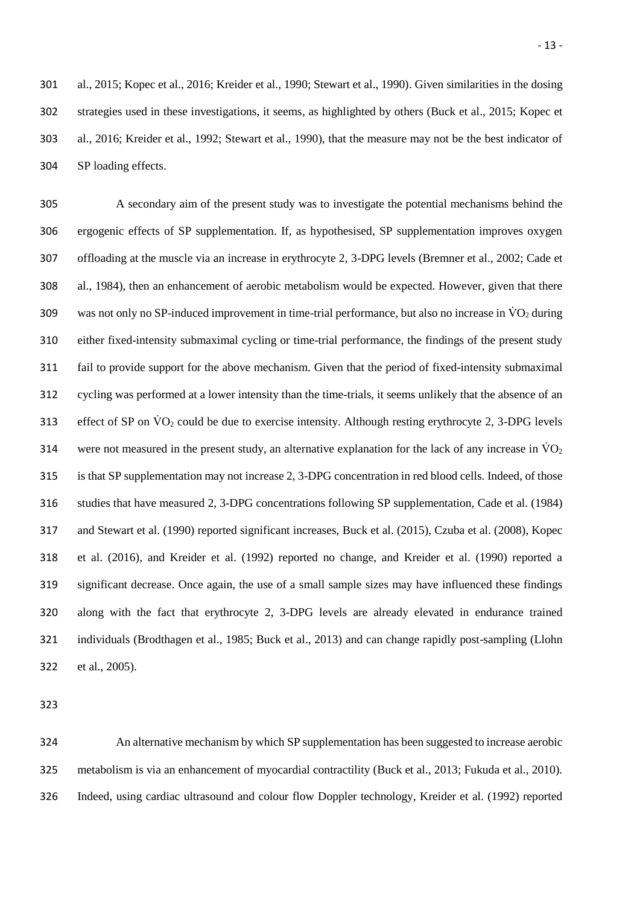al., 2015; Kopec et al., 2016; Kreider et al., 1990; Stewart et al., 1990). Given similarities in the dosing strategies used in these investigations, it seems, as highlighted by others (Buck et al., 2015; Kopec et al., 2016; Kreider et al., 1992; Stewart et al., 1990), that the measure may not be the best indicator of SP loading effects.

 A secondary aim of the present study was to investigate the potential mechanisms behind the ergogenic effects of SP supplementation. If, as hypothesised, SP supplementation improves oxygen offloading at the muscle via an increase in erythrocyte 2, 3-DPG levels (Bremner et al., 2002; Cade et al., 1984), then an enhancement of aerobic metabolism would be expected. However, given that there 309 was not only no SP-induced improvement in time-trial performance, but also no increase in  $\rm \ddot{V}O_{2}$  during either fixed-intensity submaximal cycling or time-trial performance, the findings of the present study fail to provide support for the above mechanism. Given that the period of fixed-intensity submaximal cycling was performed at a lower intensity than the time-trials, it seems unlikely that the absence of an 313 effect of SP on  $\rm\ddot{V}O_2$  could be due to exercise intensity. Although resting erythrocyte 2, 3-DPG levels 314 were not measured in the present study, an alternative explanation for the lack of any increase in  $\rm \dot{V}O_2$  is that SP supplementation may not increase 2, 3-DPG concentration in red blood cells. Indeed, of those studies that have measured 2, 3-DPG concentrations following SP supplementation, Cade et al. (1984) and Stewart et al. (1990) reported significant increases, Buck et al. (2015), Czuba et al. (2008), Kopec et al. (2016), and Kreider et al. (1992) reported no change, and Kreider et al. (1990) reported a significant decrease. Once again, the use of a small sample sizes may have influenced these findings along with the fact that erythrocyte 2, 3-DPG levels are already elevated in endurance trained individuals (Brodthagen et al., 1985; Buck et al., 2013) and can change rapidly post-sampling (Llohn et al., 2005).

 An alternative mechanism by which SP supplementation has been suggested to increase aerobic metabolism is via an enhancement of myocardial contractility (Buck et al., 2013; Fukuda et al., 2010). Indeed, using cardiac ultrasound and colour flow Doppler technology, Kreider et al. (1992) reported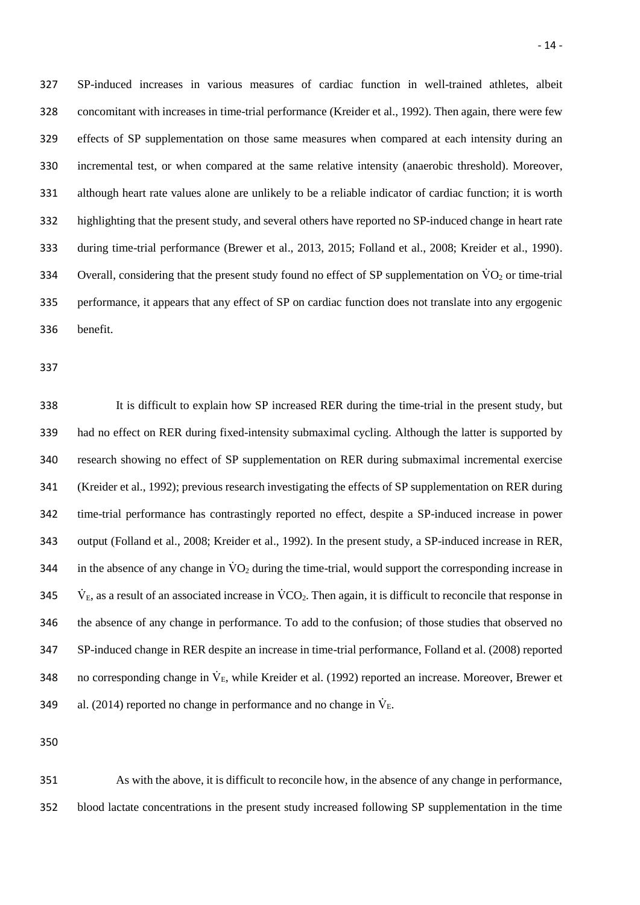SP-induced increases in various measures of cardiac function in well-trained athletes, albeit concomitant with increases in time-trial performance (Kreider et al., 1992). Then again, there were few effects of SP supplementation on those same measures when compared at each intensity during an incremental test, or when compared at the same relative intensity (anaerobic threshold). Moreover, although heart rate values alone are unlikely to be a reliable indicator of cardiac function; it is worth highlighting that the present study, and several others have reported no SP-induced change in heart rate during time-trial performance (Brewer et al., 2013, 2015; Folland et al., 2008; Kreider et al., 1990). Overall, considering that the present study found no effect of SP supplementation on V̇ O<sup>2</sup> or time-trial performance, it appears that any effect of SP on cardiac function does not translate into any ergogenic benefit.

 It is difficult to explain how SP increased RER during the time-trial in the present study, but had no effect on RER during fixed-intensity submaximal cycling. Although the latter is supported by research showing no effect of SP supplementation on RER during submaximal incremental exercise (Kreider et al., 1992); previous research investigating the effects of SP supplementation on RER during time-trial performance has contrastingly reported no effect, despite a SP-induced increase in power output (Folland et al., 2008; Kreider et al., 1992). In the present study, a SP-induced increase in RER, 344 in the absence of any change in  $\dot{V}O_2$  during the time-trial, would support the corresponding increase in  $V_{\rm E}$ , as a result of an associated increase in VCO<sub>2</sub>. Then again, it is difficult to reconcile that response in the absence of any change in performance. To add to the confusion; of those studies that observed no SP-induced change in RER despite an increase in time-trial performance, Folland et al. (2008) reported 348 no corresponding change in  $\dot{V}_E$ , while Kreider et al. (1992) reported an increase. Moreover, Brewer et 349 al. (2014) reported no change in performance and no change in  $\dot{V}_E$ .

 As with the above, it is difficult to reconcile how, in the absence of any change in performance, blood lactate concentrations in the present study increased following SP supplementation in the time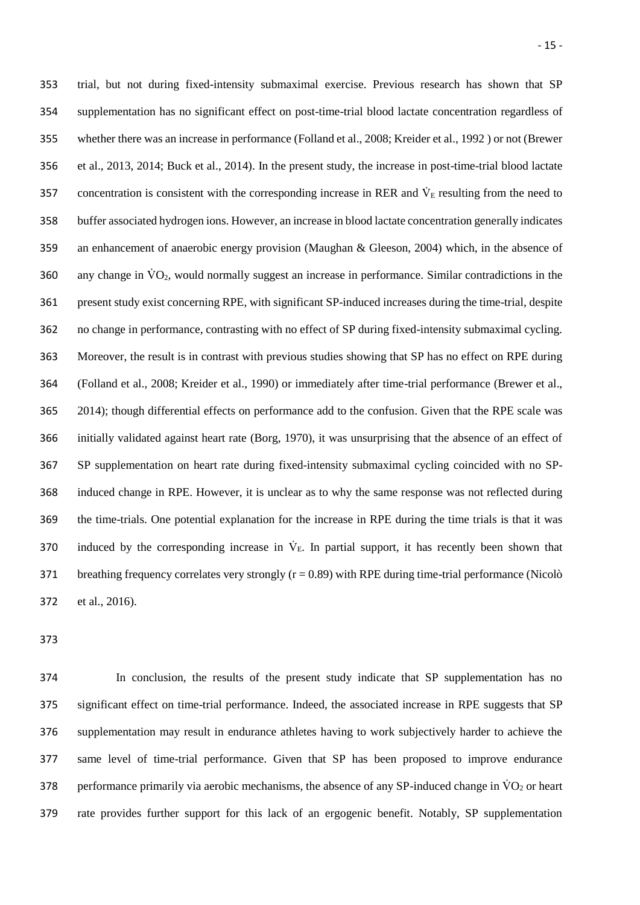trial, but not during fixed-intensity submaximal exercise. Previous research has shown that SP supplementation has no significant effect on post-time-trial blood lactate concentration regardless of whether there was an increase in performance (Folland et al., 2008; Kreider et al., 1992 ) or not (Brewer et al., 2013, 2014; Buck et al., 2014). In the present study, the increase in post-time-trial blood lactate 357 concentration is consistent with the corresponding increase in RER and  $\dot{V}_E$  resulting from the need to buffer associated hydrogen ions. However, an increase in blood lactate concentration generally indicates an enhancement of anaerobic energy provision (Maughan & Gleeson, 2004) which, in the absence of 360 any change in  $\dot{V}O_2$ , would normally suggest an increase in performance. Similar contradictions in the present study exist concerning RPE, with significant SP-induced increases during the time-trial, despite no change in performance, contrasting with no effect of SP during fixed-intensity submaximal cycling. Moreover, the result is in contrast with previous studies showing that SP has no effect on RPE during (Folland et al., 2008; Kreider et al., 1990) or immediately after time-trial performance (Brewer et al., 2014); though differential effects on performance add to the confusion. Given that the RPE scale was initially validated against heart rate (Borg, 1970), it was unsurprising that the absence of an effect of SP supplementation on heart rate during fixed-intensity submaximal cycling coincided with no SP- induced change in RPE. However, it is unclear as to why the same response was not reflected during the time-trials. One potential explanation for the increase in RPE during the time trials is that it was 370 induced by the corresponding increase in  $\dot{V}_E$ . In partial support, it has recently been shown that 371 breathing frequency correlates very strongly  $(r = 0.89)$  with RPE during time-trial performance (Nicolò et al., 2016).

 In conclusion, the results of the present study indicate that SP supplementation has no significant effect on time-trial performance. Indeed, the associated increase in RPE suggests that SP supplementation may result in endurance athletes having to work subjectively harder to achieve the same level of time-trial performance. Given that SP has been proposed to improve endurance 378 performance primarily via aerobic mechanisms, the absence of any SP-induced change in  $\rm\ddot{VO}_{2}$  or heart rate provides further support for this lack of an ergogenic benefit. Notably, SP supplementation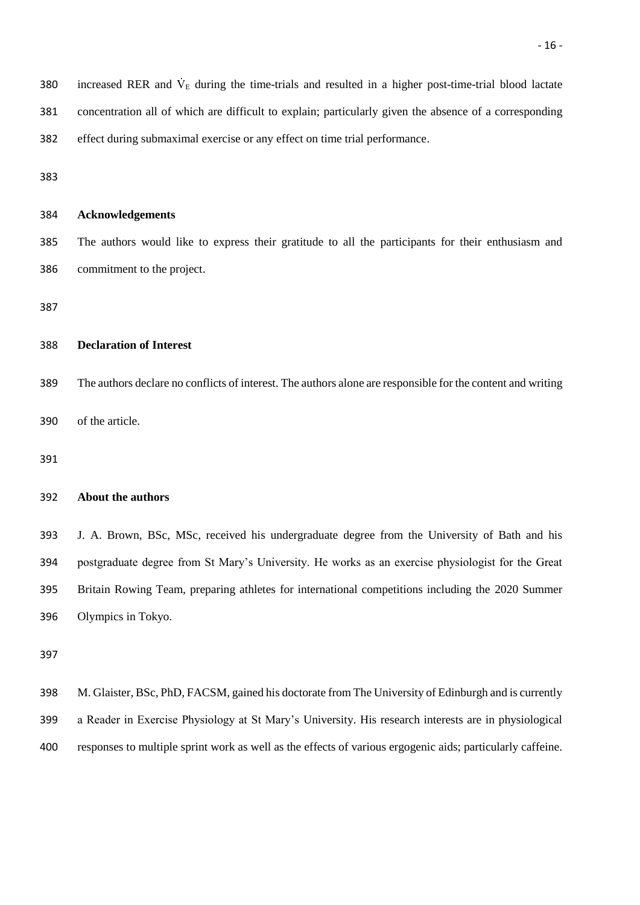| 380 | increased RER and $VE$ during the time-trials and resulted in a higher post-time-trial blood lactate   |
|-----|--------------------------------------------------------------------------------------------------------|
| 381 | concentration all of which are difficult to explain; particularly given the absence of a corresponding |
| 382 | effect during submaximal exercise or any effect on time trial performance.                             |
| 383 |                                                                                                        |

| 384 | <b>Acknowledgements</b> |
|-----|-------------------------|
|-----|-------------------------|

 The authors would like to express their gratitude to all the participants for their enthusiasm and commitment to the project.

#### **Declaration of Interest**

 The authors declare no conflicts of interest. The authors alone are responsible for the content and writing of the article.

### **About the authors**

 J. A. Brown, BSc, MSc, received his undergraduate degree from the University of Bath and his postgraduate degree from St Mary's University. He works as an exercise physiologist for the Great Britain Rowing Team, preparing athletes for international competitions including the 2020 Summer Olympics in Tokyo.

 M. Glaister, BSc, PhD, FACSM, gained his doctorate from The University of Edinburgh and is currently a Reader in Exercise Physiology at St Mary's University. His research interests are in physiological responses to multiple sprint work as well as the effects of various ergogenic aids; particularly caffeine.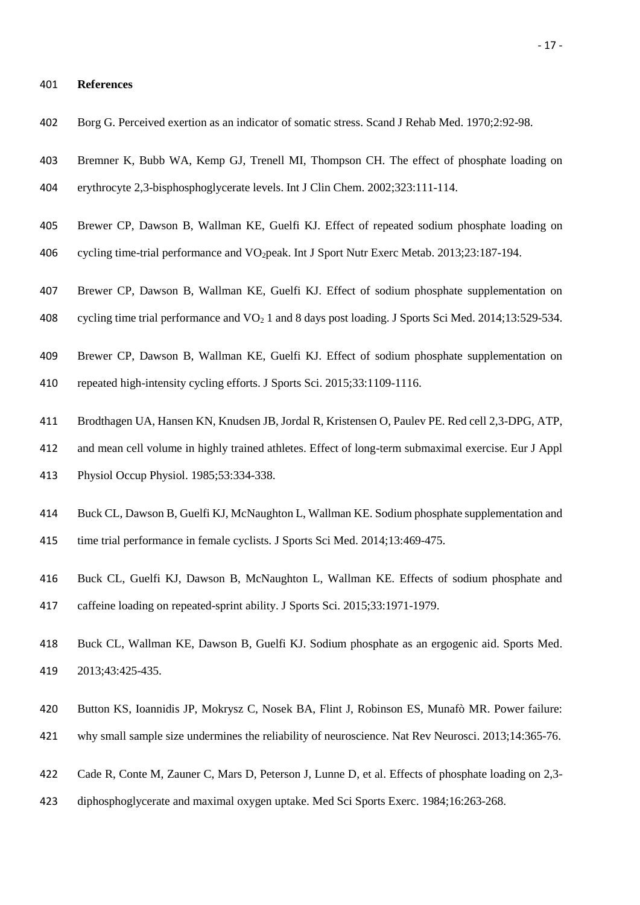#### **References**

- Borg G. Perceived exertion as an indicator of somatic stress. Scand J Rehab Med. 1970;2:92-98.
- Bremner K, Bubb WA, Kemp GJ, Trenell MI, Thompson CH. The effect of phosphate loading on
- erythrocyte 2,3-bisphosphoglycerate levels. Int J Clin Chem. 2002;323:111-114.
- Brewer CP, Dawson B, Wallman KE, Guelfi KJ. Effect of repeated sodium phosphate loading on
- cycling time-trial performance and VO2peak. Int J Sport Nutr Exerc Metab. 2013;23:187-194.
- Brewer CP, Dawson B, Wallman KE, Guelfi KJ. Effect of sodium phosphate supplementation on 408 cycling time trial performance and  $VO<sub>2</sub> 1$  and 8 days post loading. J Sports Sci Med. 2014;13:529-534.
- 
- Brewer CP, Dawson B, Wallman KE, Guelfi KJ. Effect of sodium phosphate supplementation on
- repeated high-intensity cycling efforts. J Sports Sci. 2015;33:1109-1116.
- Brodthagen UA, Hansen KN, Knudsen JB, Jordal R, Kristensen O, Paulev PE. Red cell 2,3-DPG, ATP,
- and mean cell volume in highly trained athletes. Effect of long-term submaximal exercise. Eur J Appl
- Physiol Occup Physiol. 1985;53:334-338.
- Buck CL, Dawson B, Guelfi KJ, McNaughton L, Wallman KE. Sodium phosphate supplementation and time trial performance in female cyclists. J Sports Sci Med. 2014;13:469-475.
- Buck CL, Guelfi KJ, Dawson B, McNaughton L, Wallman KE. Effects of sodium phosphate and caffeine loading on repeated-sprint ability. J Sports Sci. 2015;33:1971-1979.
- Buck CL, Wallman KE, Dawson B, Guelfi KJ. Sodium phosphate as an ergogenic aid. Sports Med. 2013;43:425-435.
- Button KS, Ioannidis JP, Mokrysz C, Nosek BA, Flint J, Robinson ES, Munafò MR. Power failure:
- why small sample size undermines the reliability of neuroscience. Nat Rev Neurosci. 2013;14:365-76.
- Cade R, Conte M, Zauner C, Mars D, Peterson J, Lunne D, et al. Effects of phosphate loading on 2,3-
- diphosphoglycerate and maximal oxygen uptake. Med Sci Sports Exerc. 1984;16:263-268.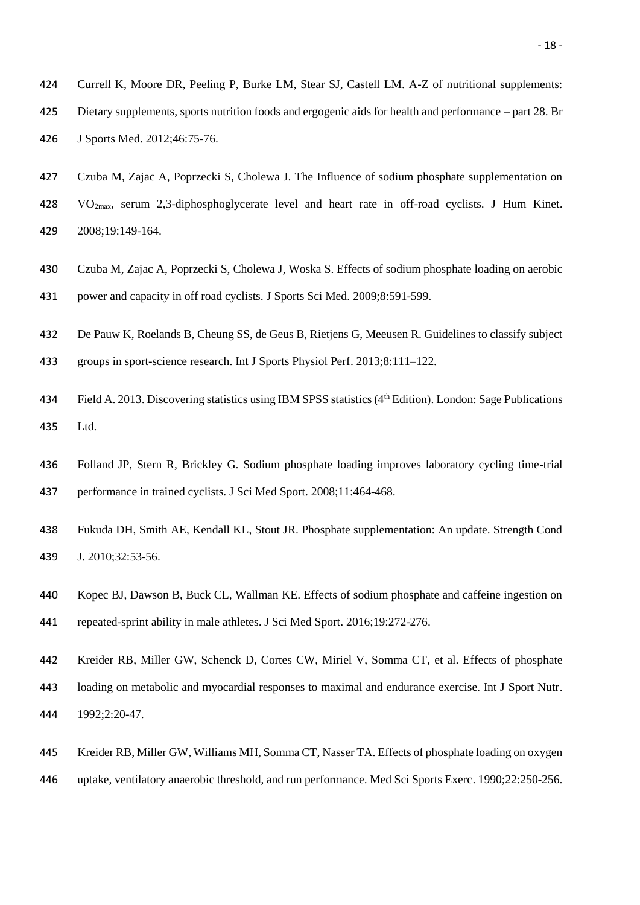- J Sports Med. 2012;46:75-76.
- Czuba M, Zajac A, Poprzecki S, Cholewa J. The Influence of sodium phosphate supplementation on VO2max, serum 2,3-diphosphoglycerate level and heart rate in off-road cyclists. J Hum Kinet.
- 2008;19:149-164.
- Czuba M, Zajac A, Poprzecki S, Cholewa J, Woska S. Effects of sodium phosphate loading on aerobic power and capacity in off road cyclists. J Sports Sci Med. 2009;8:591-599.
- De Pauw K, Roelands B, Cheung SS, de Geus B, Rietjens G, Meeusen R. Guidelines to classify subject
- groups in sport-science research. Int J Sports Physiol Perf. 2013;8:111–122.
- 434 Field A. 2013. Discovering statistics using IBM SPSS statistics (4th Edition). London: Sage Publications Ltd.
- Folland JP, Stern R, Brickley G. Sodium phosphate loading improves laboratory cycling time-trial performance in trained cyclists. J Sci Med Sport. 2008;11:464-468.
- Fukuda DH, Smith AE, Kendall KL, Stout JR. Phosphate supplementation: An update. Strength Cond J. 2010;32:53-56.
- Kopec BJ, Dawson B, Buck CL, Wallman KE. Effects of sodium phosphate and caffeine ingestion on repeated-sprint ability in male athletes. J Sci Med Sport. 2016;19:272-276.
- Kreider RB, Miller GW, Schenck D, Cortes CW, Miriel V, Somma CT, et al. Effects of phosphate loading on metabolic and myocardial responses to maximal and endurance exercise. Int J Sport Nutr. 1992;2:20-47.
- Kreider RB, Miller GW, Williams MH, Somma CT, Nasser TA. Effects of phosphate loading on oxygen
- uptake, ventilatory anaerobic threshold, and run performance. Med Sci Sports Exerc. 1990;22:250-256.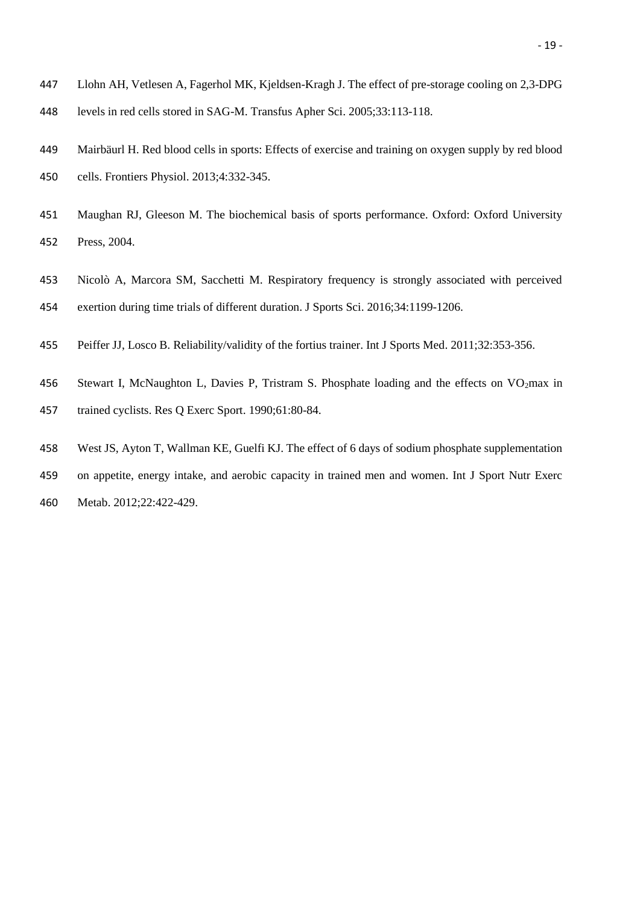- Llohn AH, Vetlesen A, Fagerhol MK, Kjeldsen-Kragh J. The effect of pre-storage cooling on 2,3-DPG levels in red cells stored in SAG-M. Transfus Apher Sci. 2005;33:113-118.
- Mairbäurl H. Red blood cells in sports: Effects of exercise and training on oxygen supply by red blood cells. Frontiers Physiol. 2013;4:332-345.
- Maughan RJ, Gleeson M. The biochemical basis of sports performance. Oxford: Oxford University Press, 2004.
- Nicolò A, Marcora SM, Sacchetti M. Respiratory frequency is strongly associated with perceived exertion during time trials of different duration. J Sports Sci. 2016;34:1199-1206.
- Peiffer JJ, Losco B. Reliability/validity of the fortius trainer. Int J Sports Med. 2011;32:353-356.
- 456 Stewart I, McNaughton L, Davies P, Tristram S, Phosphate loading and the effects on VO<sub>2</sub>max in trained cyclists. Res Q Exerc Sport. 1990;61:80-84.
- West JS, Ayton T, Wallman KE, Guelfi KJ. The effect of 6 days of sodium phosphate supplementation
- on appetite, energy intake, and aerobic capacity in trained men and women. Int J Sport Nutr Exerc Metab. 2012;22:422-429.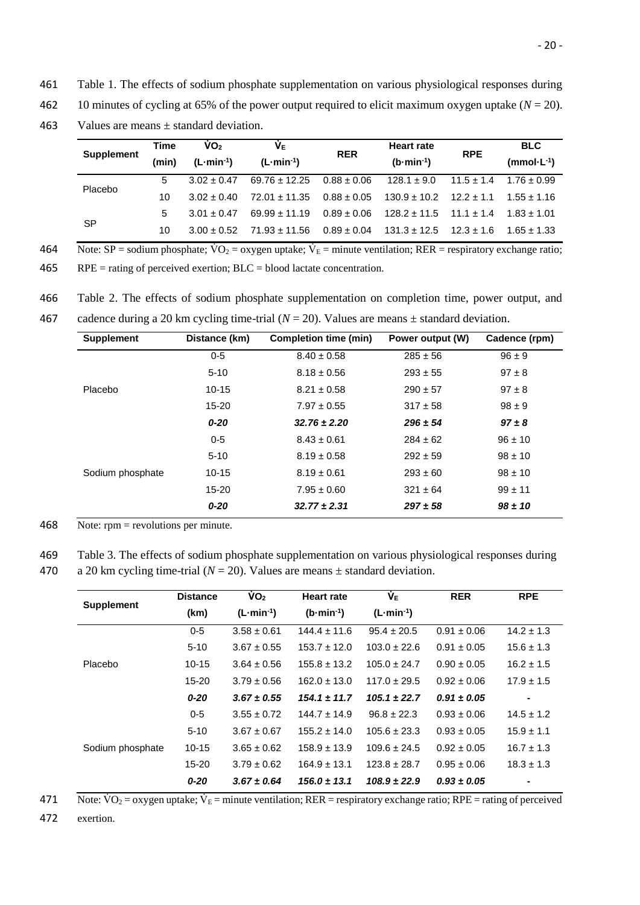461 Table 1. The effects of sodium phosphate supplementation on various physiological responses during

462 10 minutes of cycling at 65% of the power output required to elicit maximum oxygen uptake  $(N = 20)$ .

463 Values are means  $\pm$  standard deviation.

|                   | Time  | $\mathsf{VO}_2$     | ΨĒ                | <b>RER</b>      | <b>Heart rate</b>   | <b>RPE</b>     | <b>BLC</b>      |
|-------------------|-------|---------------------|-------------------|-----------------|---------------------|----------------|-----------------|
| <b>Supplement</b> | (min) | $(L\cdot min^{-1})$ | $(L·min-1)$       |                 | $(b\cdot min^{-1})$ |                | $(mmol·L-1)$    |
| Placebo           | 5.    | $3.02 + 0.47$       | $69.76 \pm 12.25$ | $0.88 \pm 0.06$ | $128.1 \pm 9.0$     | $11.5 \pm 1.4$ | $1.76 \pm 0.99$ |
|                   | 10    | $3.02 + 0.40$       | $72.01 + 11.35$   | $0.88 \pm 0.05$ | $130.9 \pm 10.2$    | $12.2 \pm 1.1$ | $1.55 + 1.16$   |
|                   | 5.    | $3.01 + 0.47$       | $69.99 \pm 11.19$ | $0.89 \pm 0.06$ | $128.2 \pm 11.5$    | $11.1 \pm 1.4$ | $1.83 \pm 1.01$ |
| <b>SP</b>         | 10    | $3.00 + 0.52$       | $71.93 \pm 11.56$ | $0.89 \pm 0.04$ | $131.3 \pm 12.5$    | $12.3 + 1.6$   | $1.65 + 1.33$   |

A64 Note:  $SP =$  sodium phosphate;  $VO_2 =$  oxygen uptake;  $V_E =$  minute ventilation; RER = respiratory exchange ratio;

 $465$  RPE = rating of perceived exertion; BLC = blood lactate concentration.

466 Table 2. The effects of sodium phosphate supplementation on completion time, power output, and

467 cadence during a 20 km cycling time-trial  $(N = 20)$ . Values are means  $\pm$  standard deviation.

| <b>Supplement</b> | Distance (km) | <b>Completion time (min)</b> | Power output (W) | Cadence (rpm) |
|-------------------|---------------|------------------------------|------------------|---------------|
|                   | $0 - 5$       | $8.40 \pm 0.58$              | $285 \pm 56$     | $96 \pm 9$    |
|                   | $5 - 10$      | $8.18 \pm 0.56$              | $293 \pm 55$     | $97 \pm 8$    |
| Placebo           | $10-15$       | $8.21 \pm 0.58$              | $290 \pm 57$     | $97 \pm 8$    |
|                   | 15-20         | $7.97 \pm 0.55$              | $317 \pm 58$     | $98 \pm 9$    |
|                   | $0 - 20$      | $32.76 \pm 2.20$             | $296 \pm 54$     | $97 \pm 8$    |
|                   | $0 - 5$       | $8.43 \pm 0.61$              | $284 \pm 62$     | $96 \pm 10$   |
|                   | $5 - 10$      | $8.19 \pm 0.58$              | $292 \pm 59$     | $98 \pm 10$   |
| Sodium phosphate  | $10-15$       | $8.19 \pm 0.61$              | $293 \pm 60$     | $98 \pm 10$   |
|                   | 15-20         | $7.95 \pm 0.60$              | $321 \pm 64$     | $99 \pm 11$   |
|                   | $0 - 20$      | $32.77 \pm 2.31$             | $297 \pm 58$     | $98 \pm 10$   |

468 Note: rpm = revolutions per minute.

469 Table 3. The effects of sodium phosphate supplementation on various physiological responses during 470 a 20 km cycling time-trial  $(N = 20)$ . Values are means  $\pm$  standard deviation.

|                   | <b>Distance</b> | $\dot{V}O_2$    | <b>Heart rate</b>   | ۷۴               | <b>RER</b>      | <b>RPE</b>     |
|-------------------|-----------------|-----------------|---------------------|------------------|-----------------|----------------|
| <b>Supplement</b> | (km)            | $(L·min-1)$     | $(b\cdot min^{-1})$ | $(L·min-1)$      |                 |                |
|                   | $0 - 5$         | $3.58 \pm 0.61$ | $144.4 \pm 11.6$    | $95.4 \pm 20.5$  | $0.91 \pm 0.06$ | $14.2 \pm 1.3$ |
|                   | $5 - 10$        | $3.67 \pm 0.55$ | $153.7 \pm 12.0$    | $103.0 \pm 22.6$ | $0.91 \pm 0.05$ | $15.6 \pm 1.3$ |
| Placebo           | $10 - 15$       | $3.64 \pm 0.56$ | $155.8 \pm 13.2$    | $105.0 \pm 24.7$ | $0.90 \pm 0.05$ | $16.2 \pm 1.5$ |
|                   | $15 - 20$       | $3.79 \pm 0.56$ | $162.0 \pm 13.0$    | $117.0 \pm 29.5$ | $0.92 \pm 0.06$ | $17.9 \pm 1.5$ |
|                   | $0 - 20$        | $3.67 \pm 0.55$ | $154.1 \pm 11.7$    | $105.1 \pm 22.7$ | $0.91 \pm 0.05$ | $\blacksquare$ |
|                   | $0 - 5$         | $3.55 \pm 0.72$ | $144.7 \pm 14.9$    | $96.8 \pm 22.3$  | $0.93 \pm 0.06$ | $14.5 \pm 1.2$ |
|                   | $5 - 10$        | $3.67 \pm 0.67$ | $155.2 \pm 14.0$    | $105.6 \pm 23.3$ | $0.93 \pm 0.05$ | $15.9 \pm 1.1$ |
| Sodium phosphate  | $10 - 15$       | $3.65 \pm 0.62$ | $158.9 \pm 13.9$    | $109.6 \pm 24.5$ | $0.92 \pm 0.05$ | $16.7 \pm 1.3$ |
|                   | $15 - 20$       | $3.79 \pm 0.62$ | $164.9 \pm 13.1$    | $123.8 \pm 28.7$ | $0.95 \pm 0.06$ | $18.3 \pm 1.3$ |
|                   | $0 - 20$        | $3.67 \pm 0.64$ | $156.0 \pm 13.1$    | $108.9 \pm 22.9$ | $0.93 \pm 0.05$ | $\blacksquare$ |

A71 Note:  $\overline{VO_2}$  = oxygen uptake;  $\overline{V_E}$  = minute ventilation; RER = respiratory exchange ratio; RPE = rating of perceived

472 exertion.